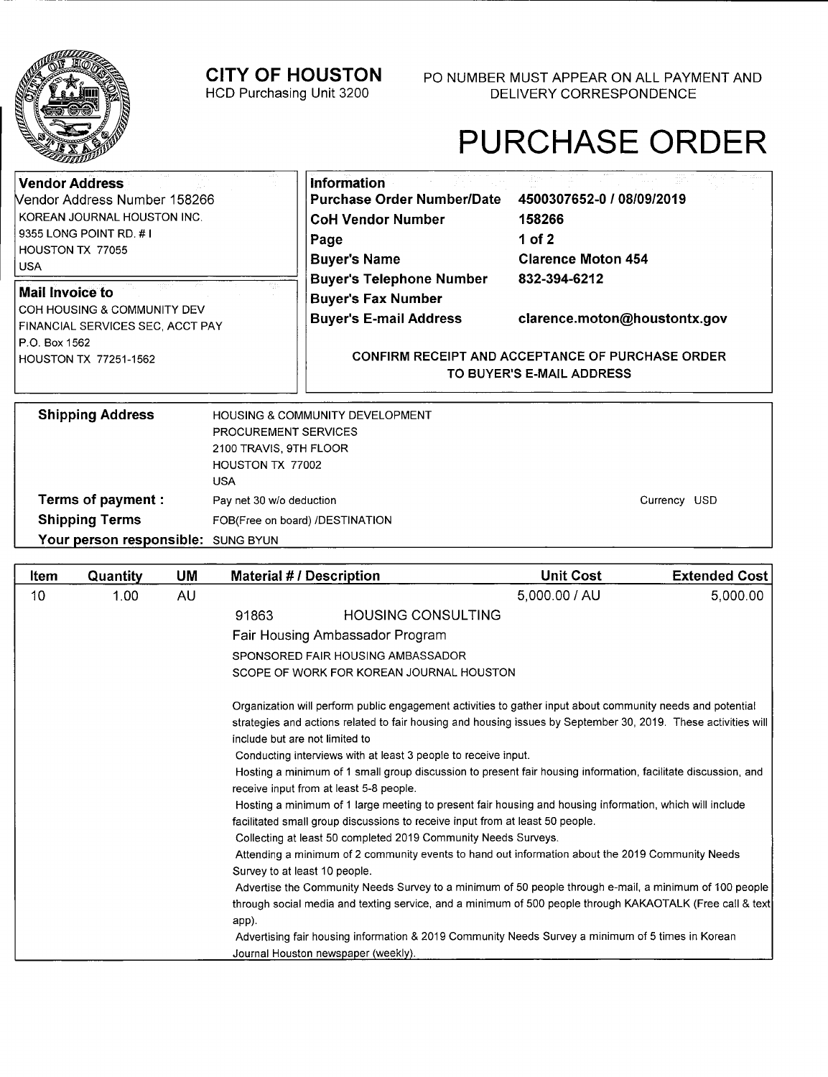

**Terms of payment: Shipping Terms** 

Your person responsible: SUNG BYUN

HOUSTON TX 77002

Pay net 30 wlo deduction

FOB(Free on board) /DESTINATION

include but are not limited to

Survey to at least 10 people.

app).

receive input from at least 5-8 people.

Journal Houston newspaper (weekly).

USA

# PURCHASE ORDER

Currency USD

| <b>Vendor Address</b><br>Vendor Address Number 158266<br>KOREAN JOURNAL HOUSTON INC.<br>9355 LONG POINT RD. #1<br>HOUSTON TX 77055<br><b>USA</b> | Information<br>Purchase Order Number/Date<br><b>CoH Vendor Number</b><br>Page<br><b>Buyer's Name</b> | 4500307652-0 / 08/09/2019<br>158266<br>1 of 2<br><b>Clarence Moton 454</b><br>832-394-6212 |
|--------------------------------------------------------------------------------------------------------------------------------------------------|------------------------------------------------------------------------------------------------------|--------------------------------------------------------------------------------------------|
| <b>Mail Invoice to</b><br>COH HOUSING & COMMUNITY DEV<br>FINANCIAL SERVICES SEC, ACCT PAY<br>P.O. Box 1562                                       | <b>Buyer's Telephone Number</b><br><b>Buyer's Fax Number</b><br><b>Buyer's E-mail Address</b>        | clarence.moton@houstontx.gov                                                               |
| <b>HOUSTON TX 77251-1562</b>                                                                                                                     |                                                                                                      | <b>CONFIRM RECEIPT AND ACCEPTANCE OF PURCHASE ORDER</b><br>TO BUYER'S E-MAIL ADDRESS       |
| <b>Shipping Address</b><br>PROCUREMENT SERVICES<br>2100 TRAVIS, 9TH FLOOR                                                                        | <b>HOUSING &amp; COMMUNITY DEVELOPMENT</b>                                                           |                                                                                            |

**Item Quantity UM Material # / Description Limit Cost Extended Cost** 10 1.00 AU 2010 1.00 1.00 AU 5,000.00 1 AU 5,000.00 1 AU 5,000.00

> Organization will perform public engagement activities to gather input about community needs and potential strategies and actions related to fair housing and housing issues by September 30, 2019. These activities will

> Hosting a minimum of 1 small group discussion to present fair housing information, facilitate discussion, and

Hosting a minimum of 1 large meeting to present fair housing and housing information, which will include

Attending a minimum of 2 community events to hand out information about the 2019 Community Needs

Advertising fair housing information & 2019 Community Needs Survey a minimum of 5 times in Korean

Advertise the Community Needs Survey to a minimum of 50 people through e-mail, a minimum of 100 people through social media and texting service, and a minimum of 500 people through KAKAOTALK (Free call & text

91863 HOUSING CONSULTING

SCOPE OF WORK FOR KOREAN JOURNAL HOUSTON

Conducting interviews with at least 3 people to receive input.

facilitated small group discussions to receive input from at least 50 people. Collecting at least 50 completed 2019 Community Needs Surveys.

Fair Housing Ambassador Program SPONSORED FAIR HOUSING AMBASSADOR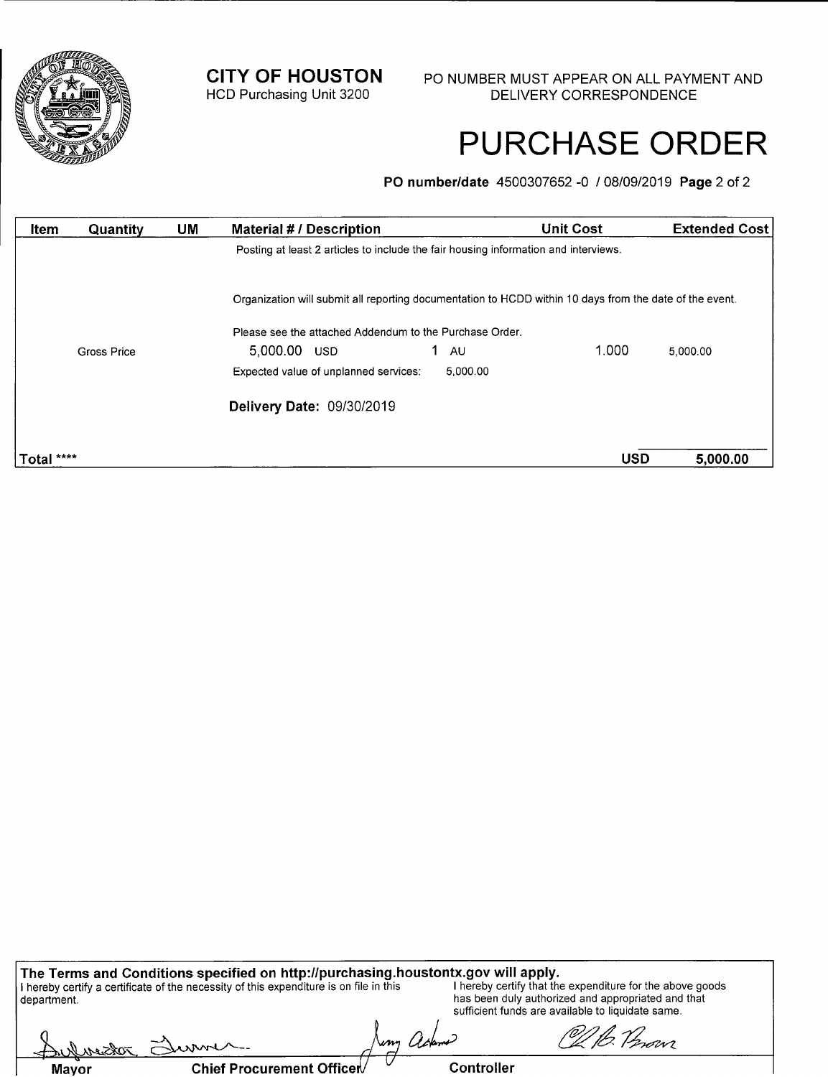

# PURCHASE ORDER

**P0 number/date** 4500307652 -0 / 08/09/2019 **Page** 2 of 2

| Item       | Quantity    | <b>UM</b> | <b>Material # / Description</b>                                                                         |                 | <b>Unit Cost</b> | <b>Extended Cost</b> |
|------------|-------------|-----------|---------------------------------------------------------------------------------------------------------|-----------------|------------------|----------------------|
|            |             |           | Posting at least 2 articles to include the fair housing information and interviews.                     |                 |                  |                      |
|            |             |           | Organization will submit all reporting documentation to HCDD within 10 days from the date of the event. |                 |                  |                      |
|            |             |           | Please see the attached Addendum to the Purchase Order.                                                 |                 |                  |                      |
|            | Gross Price |           | 5.000.00 USD                                                                                            | 1.<br><b>AU</b> | 1.000            | 5.000.00             |
|            |             |           | Expected value of unplanned services.                                                                   | 5,000.00        |                  |                      |
|            |             |           | Delivery Date: 09/30/2019                                                                               |                 |                  |                      |
|            |             |           |                                                                                                         |                 |                  |                      |
| Total **** |             |           |                                                                                                         |                 | <b>USD</b>       | 5,000.00             |

| The Terms and Conditions specified on http://purchasing.houstontx.gov will apply.      |            |                                                                                                         |
|----------------------------------------------------------------------------------------|------------|---------------------------------------------------------------------------------------------------------|
| I hereby certify a certificate of the necessity of this expenditure is on file in this |            | I hereby certify that the expenditure for the above goods                                               |
| department.                                                                            |            | has been duly authorized and appropriated and that<br>sufficient funds are available to liquidate same. |
| Authorizon Surver                                                                      | Jung adame | Of B. Provi                                                                                             |

**Mayor Chief Procurement Officet Controller**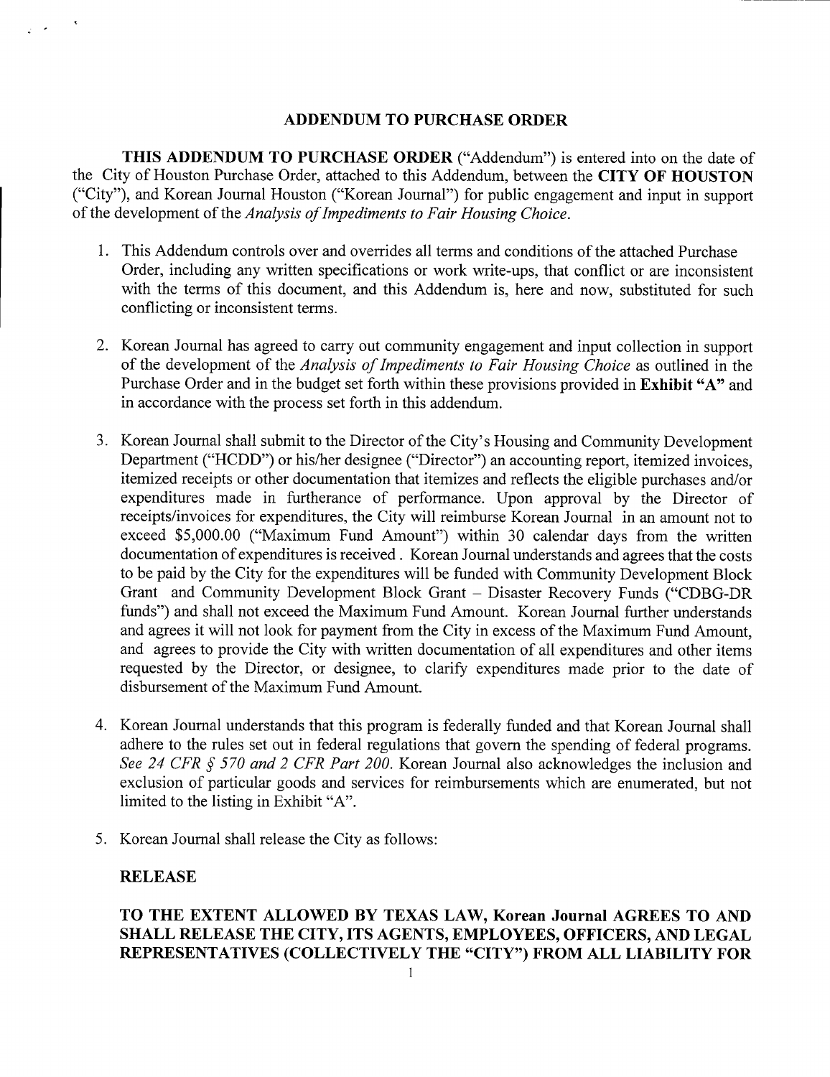### **ADDENDUM TO PURCHASE ORDER**

**THIS ADDENDUM TO PURCHASE ORDER** ("Addendum") is entered into on the date of the City of Houston Purchase Order, attached to this Addendum, between the **CITY OF HOUSTON**  ("City"), and Korean Journal Houston ("Korean Journal") for public engagement and input in support *of the development of the Analysis of Impediments to Fair Housing Choice.* 

- 1. This Addendum controls over and overrides all terms and conditions of the attached Purchase Order, including any written specifications or work write-ups, that conflict or are inconsistent with the terms of this document, and this Addendum is, here and now, substituted for such conflicting or inconsistent terms.
- 2. Korean Journal has agreed to carry out community engagement and input collection in support *of the development of the Analysis of Impediments to Fair Housing Choice* as outlined in the Purchase Order and in the budget set forth within these provisions provided in **Exhibit "A"** and in accordance with the process set forth in this addendum.
- 3. Korean Journal shall submit to the Director of the City's Housing and Community Development Department ("HCDD") or his/her designee ("Director") an accounting report, itemized invoices, itemized receipts or other documentation that itemizes and reflects the eligible purchases and/or expenditures made in furtherance of performance. Upon approval by the Director of receipts/invoices for expenditures, the City will reimburse Korean Journal in an amount not to exceed \$5,000.00 ("Maximum Fund Amount") within 30 calendar days from the written documentation of expenditures is received. Korean Journal understands and agrees that the costs to be paid by the City for the expenditures will be funded with Community Development Block Grant and Community Development Block Grant — Disaster Recovery Funds ("CDBG-DR funds") and shall not exceed the Maximum Fund Amount. Korean Journal further understands and agrees it will not look for payment from the City in excess of the Maximum Fund Amount, and agrees to provide the City with written documentation of all expenditures and other items requested by the Director, or designee, to clarify expenditures made prior to the date of disbursement of the Maximum Fund Amount.
- 4. Korean Journal understands that this program is federally funded and that Korean Journal shall adhere to the rules set out in federal regulations that govern the spending of federal programs. *See 24 CFR § 570 and 2 CFR Part 200.* Korean Journal also acknowledges the inclusion and exclusion of particular goods and services for reimbursements which are enumerated, but not limited to the listing in Exhibit "A".
- 5. Korean Journal shall release the City as follows:

#### **RELEASE**

### **TO THE EXTENT ALLOWED BY TEXAS LAW, Korean Journal AGREES TO AND SHALL RELEASE THE CITY, ITS AGENTS, EMPLOYEES, OFFICERS, AND LEGAL REPRESENTATIVES (COLLECTIVELY THE "CITY") FROM ALL LIABILITY FOR**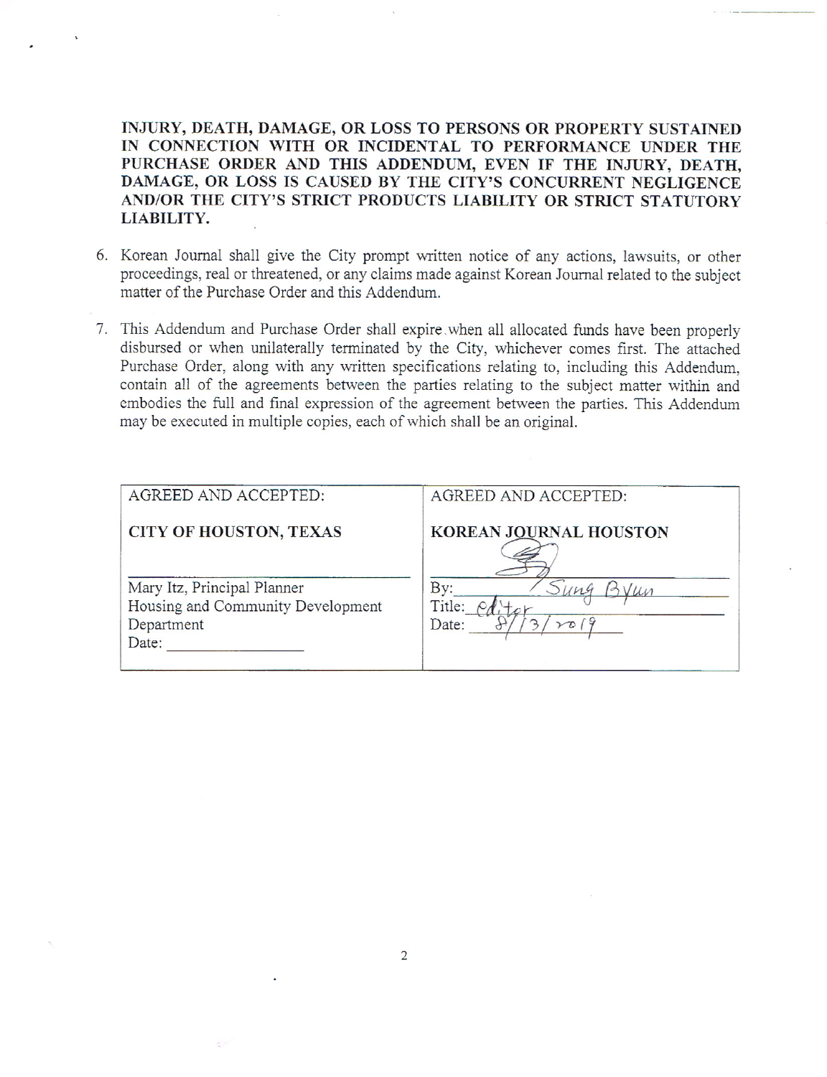INJURY, DEATH, DAMAGE, OR LOSS TO PERSONS OR PROPERTY SUSTAINED IN CONNECTION WITH OR INCIDENTAL TO PERFORMANCE UNDER THE PURCHASE ORDER AND THIS ADDENDUM, EVEN IF THE INJURY, DEATH, DAMAGE, OR LOSS IS CAUSED BY THE CITY'S CONCURRENT NEGLIGENCE AND/OR THE CITY'S STRICT PRODUCTS LIABILITY OR STRICT STATUTORY LIABILITY.

- 6. Korean Journal shall give the City prompt written notice of any actions, lawsuits, or other proceedings, real or threatened, or any claims made against Korean Journal related to the subject matter of the Purchase Order and this Addendum.
- 7. This Addendum and Purchase Order shall expire when all allocated funds have been properly disbursed or when unilaterally terminated by the City, whichever comes first. The attached Purchase Order, along with any written specifications relating to, including this Addendum, contain all of the agreements between the parties relating to the subject matter within and embodies the full and final expression of the agreement between the parties. This Addendum may be executed in multiple copies, each of which shall be an original.

| AGREED AND ACCEPTED:                                                                    | AGREED AND ACCEPTED:                 |
|-----------------------------------------------------------------------------------------|--------------------------------------|
| <b>CITY OF HOUSTON, TEXAS</b>                                                           | <b>KOREAN JOURNAL HOUSTON</b>        |
| Mary Itz, Principal Planner<br>Housing and Community Development<br>Department<br>Date: | Bv:<br>Title:<br>Date:<br>$\sqrt{D}$ |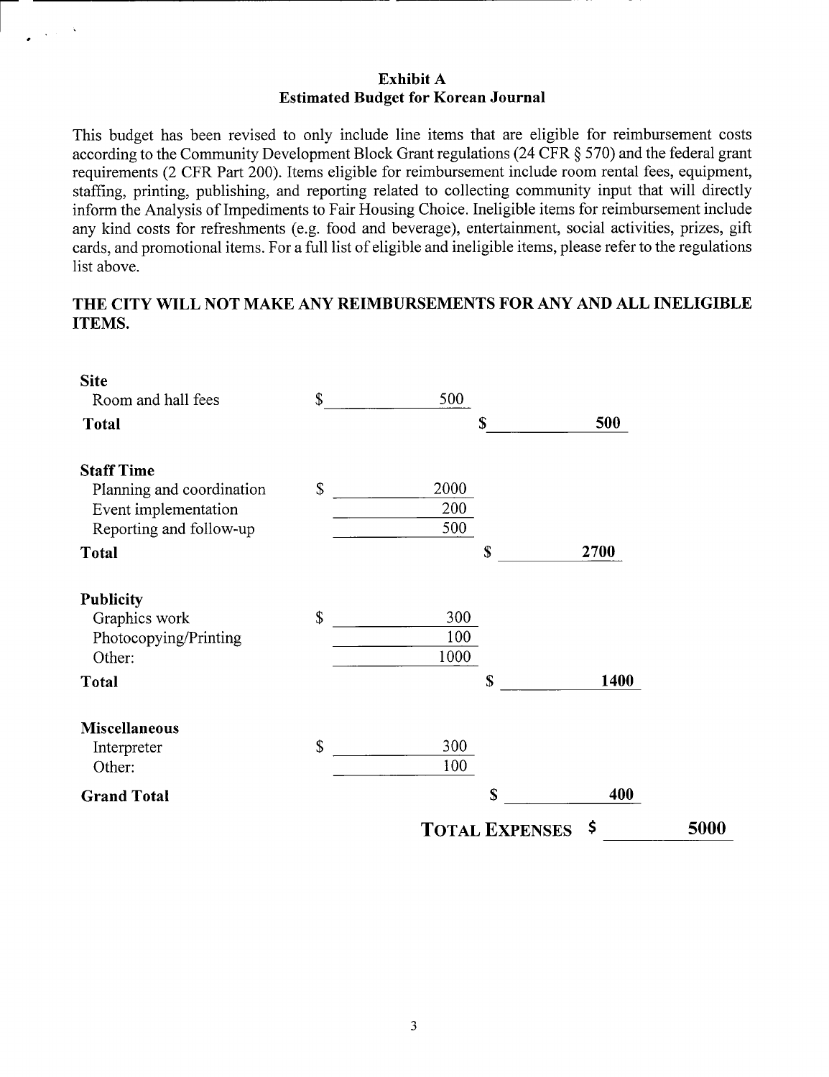### **Exhibit A Estimated Budget for Korean Journal**

This budget has been revised to only include line items that are eligible for reimbursement costs according to the Community Development Block Grant regulations (24 CFR § *570)* and the federal grant requirements (2 CFR Part 200). Items eligible for reimbursement include room rental fees, equipment, staffing, printing, publishing, and reporting related to collecting community input that will directly inform the Analysis of Impediments to Fair Housing Choice. Ineligible items for reimbursement include any kind costs for refreshments (e.g. food and beverage), entertainment, social activities, prizes, gift cards, and promotional items. For a full list of eligible and ineligible items, please refer to the regulations list above.

## **THE CITY WILL NOT MAKE ANY REIMBURSEMENTS FOR** ANY AND ALL **INELIGIBLE ITEMS.**

| <b>Site</b>               |                           |      |                       |      |      |
|---------------------------|---------------------------|------|-----------------------|------|------|
| Room and hall fees        | \$                        | 500  |                       |      |      |
| <b>Total</b>              |                           |      | S                     | 500  |      |
| <b>Staff Time</b>         |                           |      |                       |      |      |
| Planning and coordination | $\boldsymbol{\mathsf{S}}$ | 2000 |                       |      |      |
| Event implementation      |                           | 200  |                       |      |      |
| Reporting and follow-up   |                           | 500  |                       |      |      |
| <b>Total</b>              |                           |      | \$                    | 2700 |      |
| <b>Publicity</b>          |                           |      |                       |      |      |
| Graphics work             | \$                        | 300  |                       |      |      |
| Photocopying/Printing     |                           | 100  |                       |      |      |
| Other:                    |                           | 1000 |                       |      |      |
| <b>Total</b>              |                           |      | \$                    | 1400 |      |
| <b>Miscellaneous</b>      |                           |      |                       |      |      |
| Interpreter               | $\boldsymbol{\mathsf{S}}$ | 300  |                       |      |      |
| Other:                    |                           | 100  |                       |      |      |
| <b>Grand Total</b>        |                           |      | \$                    | 400  |      |
|                           |                           |      | <b>TOTAL EXPENSES</b> | - \$ | 5000 |